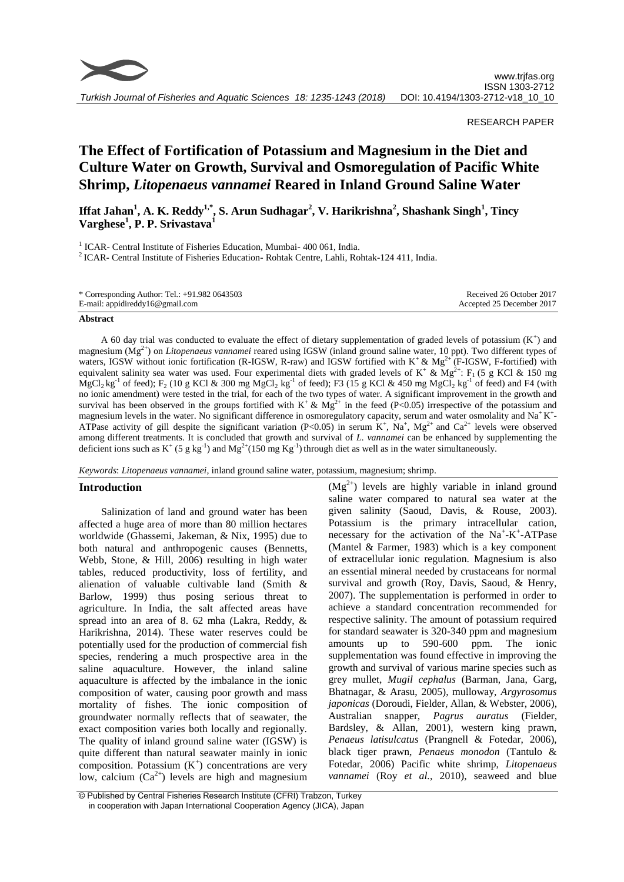

## RESEARCH PAPER

# **The Effect of Fortification of Potassium and Magnesium in the Diet and Culture Water on Growth, Survival and Osmoregulation of Pacific White Shrimp,** *Litopenaeus vannamei* **Reared in Inland Ground Saline Water**

**Iffat Jahan<sup>1</sup> , A. K. Reddy1,\* , S. Arun Sudhagar<sup>2</sup> , V. Harikrishna<sup>2</sup> , Shashank Singh<sup>1</sup> , Tincy Varghese<sup>1</sup> , P. P. Srivastava<sup>1</sup>**

<sup>1</sup> ICAR- Central Institute of Fisheries Education, Mumbai- 400 061, India. <sup>2</sup> ICAR- Central Institute of Fisheries Education- Rohtak Centre, Lahli, Rohtak-124 411, India.

| * Corresponding Author: Tel.: +91.982 0643503 | Received 26 October 2017  |
|-----------------------------------------------|---------------------------|
| E-mail: appidireddy16@gmail.com               | Accepted 25 December 2017 |

#### **Abstract**

A 60 day trial was conducted to evaluate the effect of dietary supplementation of graded levels of potassium  $(K^+)$  and magnesium (Mg2+) on *Litopenaeus vannamei* reared using IGSW (inland ground saline water, 10 ppt). Two different types of waters, IGSW without ionic fortification (R-IGSW, R-raw) and IGSW fortified with  $K^+ \& Mg^{2+} (F-IGSW, F-fortified)$  with equivalent salinity sea water was used. Four experimental diets with graded levels of K<sup>+</sup> & Mg<sup>2+</sup>: F<sub>1</sub> (5 g KCl & 150 mg  $MgCl_2$  kg<sup>-1</sup> of feed); F<sub>2</sub> (10 g KCl & 300 mg MgCl<sub>2</sub> kg<sup>-1</sup> of feed); F3 (15 g KCl & 450 mg MgCl<sub>2</sub> kg<sup>-1</sup> of feed) and F4 (with no ionic amendment) were tested in the trial, for each of the two types of water. A significant improvement in the growth and survival has been observed in the groups fortified with  $K^* \& M_g^{2^+}$  in the feed (P<0.05) irrespective of the potassium and magnesium levels in the water. No significant difference in osmoregulatory capacity, serum and water osmolality and  $Na<sup>+</sup>K<sup>+</sup>$ ATPase activity of gill despite the significant variation (P<0.05) in serum K<sup>+</sup>, Na<sup>+</sup>, Mg<sup>2+</sup> and Ca<sup>2+</sup> levels were observed among different treatments. It is concluded that growth and survival of *L. vannamei* can be enhanced by supplementing the deficient ions such as K<sup>+</sup> (5 g kg<sup>-1</sup>) and Mg<sup>2+</sup>(150 mg Kg<sup>-1</sup>) through diet as well as in the water simultaneously.

*Keywords*: *Litopenaeus vannamei,* inland ground saline water, potassium, magnesium; shrimp.

## **Introduction**

Salinization of land and ground water has been affected a huge area of more than 80 million hectares worldwide (Ghassemi, Jakeman, & Nix, 1995) due to both natural and anthropogenic causes (Bennetts, Webb, Stone, & Hill, 2006) resulting in high water tables, reduced productivity, loss of fertility, and alienation of valuable cultivable land (Smith & Barlow, 1999) thus posing serious threat to agriculture. In India, the salt affected areas have spread into an area of 8. 62 mha (Lakra, Reddy, & Harikrishna, 2014). These water reserves could be potentially used for the production of commercial fish species, rendering a much prospective area in the saline aquaculture. However, the inland saline aquaculture is affected by the imbalance in the ionic composition of water, causing poor growth and mass mortality of fishes. The ionic composition of groundwater normally reflects that of seawater, the exact composition varies both locally and regionally. The quality of inland ground saline water (IGSW) is quite different than natural seawater mainly in ionic composition. Potassium  $(K^+)$  concentrations are very low, calcium  $(Ca^{2+})$  levels are high and magnesium

 $(Mg<sup>2+</sup>)$  levels are highly variable in inland ground saline water compared to natural sea water at the given salinity (Saoud, Davis, & Rouse, 2003). Potassium is the primary intracellular cation, necessary for the activation of the Na<sup>+</sup>-K<sup>+</sup>-ATPase (Mantel & Farmer, 1983) which is a key component of extracellular ionic regulation. Magnesium is also an essential mineral needed by crustaceans for normal survival and growth (Roy, Davis, Saoud, & Henry, 2007). The supplementation is performed in order to achieve a standard concentration recommended for respective salinity. The amount of potassium required for standard seawater is 320-340 ppm and magnesium amounts up to 590-600 ppm. The ionic supplementation was found effective in improving the growth and survival of various marine species such as grey mullet, *Mugil cephalus* (Barman, Jana, Garg, Bhatnagar, & Arasu, 2005), mulloway, *Argyrosomus japonicas* (Doroudi, Fielder, Allan, & Webster, 2006), Australian snapper, *Pagrus auratus* (Fielder, Bardsley, & Allan, 2001), western king prawn, *Penaeus latisulcatus* (Prangnell & Fotedar, 2006), black tiger prawn, *Penaeus monodon* (Tantulo & Fotedar, 2006) Pacific white shrimp, *Litopenaeus vannamei* (Roy *et al.*, 2010), seaweed and blue

<sup>©</sup> Published by Central Fisheries Research Institute (CFRI) Trabzon, Turkey in cooperation with Japan International Cooperation Agency (JICA), Japan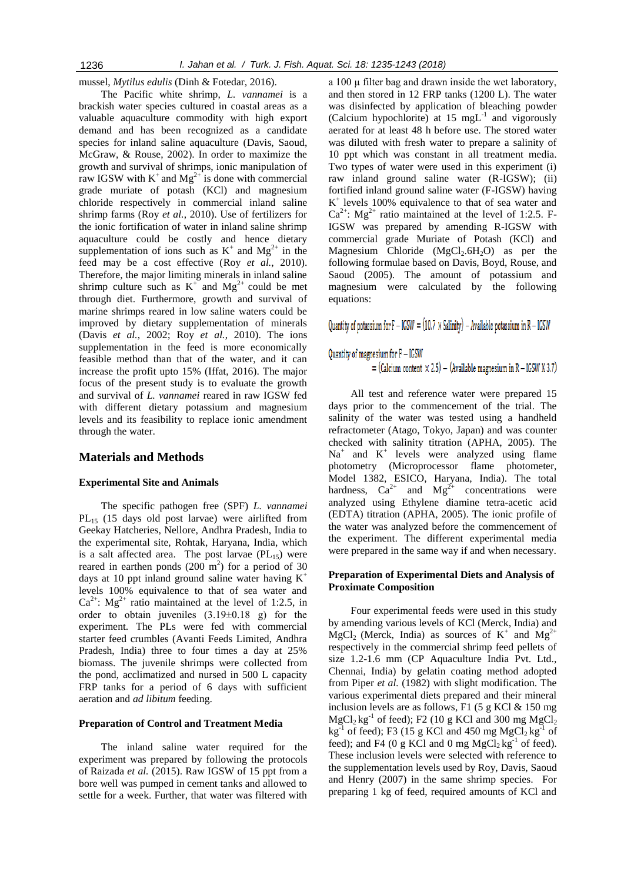mussel, *Mytilus edulis* (Dinh & Fotedar, 2016).

The Pacific white shrimp, *L. vannamei* is a brackish water species cultured in coastal areas as a valuable aquaculture commodity with high export demand and has been recognized as a candidate species for inland saline aquaculture (Davis, Saoud, McGraw, & Rouse, 2002). In order to maximize the growth and survival of shrimps, ionic manipulation of raw IGSW with  $K^+$  and  $Mg^{2+}$  is done with commercial grade muriate of potash (KCl) and magnesium chloride respectively in commercial inland saline shrimp farms (Roy *et al.*, 2010). Use of fertilizers for the ionic fortification of water in inland saline shrimp aquaculture could be costly and hence dietary supplementation of ions such as  $K^+$  and  $Mg^{2+}$  in the feed may be a cost effective (Roy *et al.*, 2010). Therefore, the major limiting minerals in inland saline shrimp culture such as  $K^+$  and  $Mg^{2+}$  could be met through diet. Furthermore, growth and survival of marine shrimps reared in low saline waters could be improved by dietary supplementation of minerals (Davis *et al.*, 2002; Roy *et al.*, 2010). The ions supplementation in the feed is more economically feasible method than that of the water, and it can increase the profit upto 15% (Iffat, 2016). The major focus of the present study is to evaluate the growth and survival of *L. vannamei* reared in raw IGSW fed with different dietary potassium and magnesium levels and its feasibility to replace ionic amendment through the water.

## **Materials and Methods**

## **Experimental Site and Animals**

The specific pathogen free (SPF) *L. vannamei* PL<sup>15</sup> (15 days old post larvae) were airlifted from Geekay Hatcheries, Nellore, Andhra Pradesh, India to the experimental site, Rohtak, Haryana, India, which is a salt affected area. The post larvae  $(PL_{15})$  were reared in earthen ponds  $(200 \text{ m}^2)$  for a period of 30 days at 10 ppt inland ground saline water having  $K^+$ levels 100% equivalence to that of sea water and  $Ca^{2+}$ : Mg<sup>2+</sup> ratio maintained at the level of 1:2.5, in order to obtain juveniles  $(3.19\pm0.18)$  g) for the experiment. The PLs were fed with commercial starter feed crumbles (Avanti Feeds Limited, Andhra Pradesh, India) three to four times a day at 25% biomass. The juvenile shrimps were collected from the pond, acclimatized and nursed in 500 L capacity FRP tanks for a period of 6 days with sufficient aeration and *ad libitum* feeding.

## **Preparation of Control and Treatment Media**

The inland saline water required for the experiment was prepared by following the protocols of Raizada *et al.* (2015). Raw IGSW of 15 ppt from a bore well was pumped in cement tanks and allowed to settle for a week. Further, that water was filtered with

a 100 µ filter bag and drawn inside the wet laboratory, and then stored in 12 FRP tanks (1200 L). The water was disinfected by application of bleaching powder (Calcium hypochlorite) at  $15 \text{ mgL}^{-1}$  and vigorously aerated for at least 48 h before use. The stored water was diluted with fresh water to prepare a salinity of 10 ppt which was constant in all treatment media. Two types of water were used in this experiment (i) raw inland ground saline water (R-IGSW); (ii) fortified inland ground saline water (F-IGSW) having K + levels 100% equivalence to that of sea water and  $Ca^{2+}$ : Mg<sup>2+</sup> ratio maintained at the level of 1:2.5. F-IGSW was prepared by amending R-IGSW with commercial grade Muriate of Potash (KCl) and Magnesium Chloride  $(MgCl<sub>2</sub>.6H<sub>2</sub>O)$  as per the following formulae based on Davis, Boyd, Rouse, and Saoud (2005). The amount of potassium and magnesium were calculated by the following equations:

Quantity of potassium for  $F - IGSW = (10.7 \times Salinity) - Available potassium in R - IGSW$ 

Quantity of magnesium for F - IGSW

= (Calcium content  $\times$  2.5) – (Available magnesium in R – IGSW X 3.7)

All test and reference water were prepared 15 days prior to the commencement of the trial. The salinity of the water was tested using a handheld refractometer (Atago, Tokyo, Japan) and was counter checked with salinity titration (APHA, 2005). The  $Na<sup>+</sup>$  and  $K<sup>+</sup>$  levels were analyzed using flame photometry (Microprocessor flame photometer, Model 1382, ESICO, Haryana, India). The total hardness,  $Ca^{2+}$  and  $Mg^{2+}$  concentrations were analyzed using Ethylene diamine tetra-acetic acid (EDTA) titration (APHA, 2005). The ionic profile of the water was analyzed before the commencement of the experiment. The different experimental media were prepared in the same way if and when necessary.

## **Preparation of Experimental Diets and Analysis of Proximate Composition**

Four experimental feeds were used in this study by amending various levels of KCl (Merck, India) and  $MgCl<sub>2</sub>$  (Merck, India) as sources of K<sup>+</sup> and Mg<sup>2+</sup> respectively in the commercial shrimp feed pellets of size 1.2-1.6 mm (CP Aquaculture India Pvt. Ltd., Chennai, India) by gelatin coating method adopted from Piper *et al.* (1982) with slight modification. The various experimental diets prepared and their mineral inclusion levels are as follows, F1 (5 g KCl & 150 mg  $MgCl<sub>2</sub> kg<sup>-1</sup>$  of feed); F2 (10 g KCl and 300 mg  $MgCl<sub>2</sub>$  $kg^{-1}$  of feed); F3 (15 g KCl and 450 mg MgCl<sub>2</sub> kg<sup>-1</sup> of feed); and F4 (0 g KCl and 0 mg  $MgCl<sub>2</sub> kg<sup>-1</sup>$  of feed). These inclusion levels were selected with reference to the supplementation levels used by Roy, Davis, Saoud and Henry (2007) in the same shrimp species. For preparing 1 kg of feed, required amounts of KCl and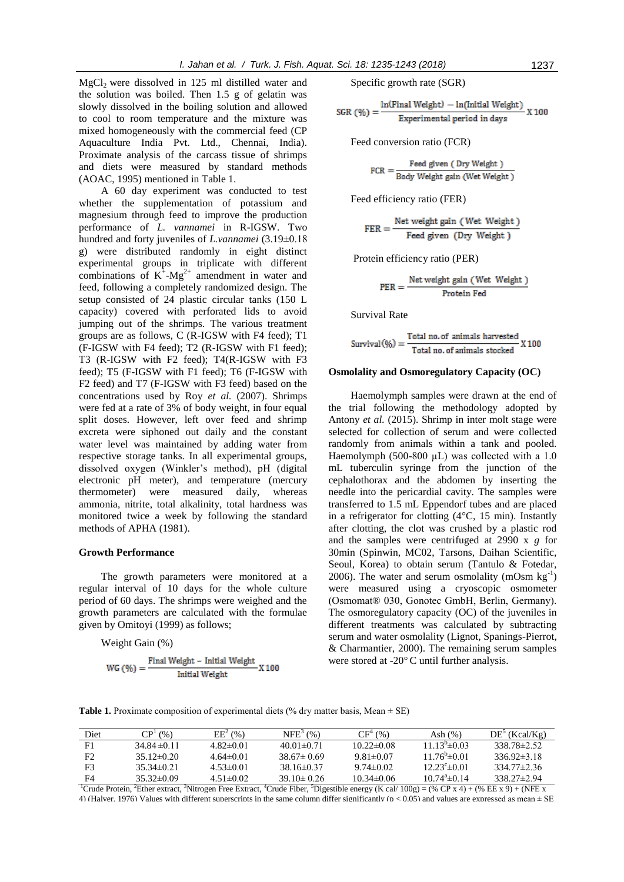$MgCl<sub>2</sub>$  were dissolved in 125 ml distilled water and the solution was boiled. Then 1.5 g of gelatin was slowly dissolved in the boiling solution and allowed to cool to room temperature and the mixture was mixed homogeneously with the commercial feed (CP Aquaculture India Pvt. Ltd., Chennai, India). Proximate analysis of the carcass tissue of shrimps and diets were measured by standard methods (AOAC, 1995) mentioned in Table 1.

A 60 day experiment was conducted to test whether the supplementation of potassium and magnesium through feed to improve the production performance of *L. vannamei* in R-IGSW. Two hundred and forty juveniles of *L.vannamei* (3.19±0.18 g) were distributed randomly in eight distinct experimental groups in triplicate with different combinations of  $K^{\dagger}$ -Mg<sup>2+</sup> amendment in water and feed, following a completely randomized design. The setup consisted of 24 plastic circular tanks (150 L capacity) covered with perforated lids to avoid jumping out of the shrimps. The various treatment groups are as follows, C (R-IGSW with F4 feed); T1 (F-IGSW with F4 feed); T2 (R-IGSW with F1 feed); T3 (R-IGSW with F2 feed); T4(R-IGSW with F3 feed); T5 (F-IGSW with F1 feed); T6 (F-IGSW with F2 feed) and T7 (F-IGSW with F3 feed) based on the concentrations used by Roy *et al.* (2007). Shrimps were fed at a rate of 3% of body weight, in four equal split doses. However, left over feed and shrimp excreta were siphoned out daily and the constant water level was maintained by adding water from respective storage tanks. In all experimental groups, dissolved oxygen (Winkler's method), pH (digital electronic pH meter), and temperature (mercury thermometer) were measured daily, whereas ammonia, nitrite, total alkalinity, total hardness was monitored twice a week by following the standard methods of APHA (1981).

#### **Growth Performance**

The growth parameters were monitored at a regular interval of 10 days for the whole culture period of 60 days. The shrimps were weighed and the growth parameters are calculated with the formulae given by Omitoyi (1999) as follows;

Weight Gain (%)

$$
WG\left(\text{\%}\right) = \frac{Final Weight - Initial Weight}{Initial Weight}X\,100
$$

Specific growth rate (SGR)

SGR (
$$
\%
$$
) =  $\frac{\ln(\text{Final Weight}) - \ln(\text{Initial Weight})}{\text{Experimental period in days}} X 100$ 

Feed conversion ratio (FCR)

$$
FCR = \frac{Feed\ given\ (Dry\ Weight\ )}{Body\ Weight\ gain\ (Wet\ Weight\ )}
$$

Feed efficiency ratio (FER)

$$
FER = \frac{Net weight gain (Wet Weight)}{Feed given (Dry Weight)}
$$

Protein efficiency ratio (PER)

$$
PER = \frac{Net weight gain (Wet Weight)}{Protein Fed}
$$

Survival Rate

$$
Survival(%) = \frac{Total no. of animals harvested}{Total no. of animals stocked} X 100
$$

## **Osmolality and Osmoregulatory Capacity (OC)**

Haemolymph samples were drawn at the end of the trial following the methodology adopted by Antony *et al.* (2015). Shrimp in inter molt stage were selected for collection of serum and were collected randomly from animals within a tank and pooled. Haemolymph (500-800  $\mu$ L) was collected with a 1.0 mL tuberculin syringe from the junction of the cephalothorax and the abdomen by inserting the needle into the pericardial cavity. The samples were transferred to 1.5 mL Eppendorf tubes and are placed in a refrigerator for clotting (4°C, 15 min). Instantly after clotting, the clot was crushed by a plastic rod and the samples were centrifuged at 2990 x *g* for 30min (Spinwin, MC02, Tarsons, Daihan Scientific, Seoul, Korea) to obtain serum (Tantulo & Fotedar, 2006). The water and serum osmolality (mOsm  $kg^{-1}$ ) were measured using a cryoscopic osmometer (Osmomat® 030, Gonotec GmbH, Berlin, Germany). The osmoregulatory capacity (OC) of the juveniles in different treatments was calculated by subtracting serum and water osmolality (Lignot, Spanings-Pierrot, & Charmantier, 2000). The remaining serum samples were stored at -20°C until further analysis.

**Table 1.** Proximate composition of experimental diets (% dry matter basis, Mean  $\pm$  SE)

| Diet | CP <sup>T</sup><br>(96) | $EE^{2}(% )$    | $NFE3$ (%)       | $CF^4$<br>(% )   | Ash $(\%)$             | $DE^3$ (Kcal/Kg)  |
|------|-------------------------|-----------------|------------------|------------------|------------------------|-------------------|
| F1   | 34.84 $\pm$ 0.11        | $4.82\pm0.01$   | $40.01 \pm 0.71$ | $10.22 \pm 0.08$ | $11.13^{b}$ $\pm 0.03$ | $338.78 \pm 2.52$ |
| F2   | $35.12\pm0.20$          | $4.64\pm0.01$   | $38.67 \pm 0.69$ | $9.81 \pm 0.07$  | $11.76^{\circ}$ ± 0.01 | $336.92 \pm 3.18$ |
| F3   | $35.34\pm 0.21$         | $4.53\pm0.01$   | $38.16\pm0.37$   | $9.74\pm 0.02$   | $12.23^{\circ}$ ±0.01  | $334.77 \pm 2.36$ |
| F4   | $35.32\pm0.09$          | $4.51 \pm 0.02$ | $39.10 \pm 0.26$ | $10.34\pm0.06$   | $10.74^{\circ}$ ±0.14  | $338.27 \pm 2.94$ |

<sup>1</sup>Crude Protein, <sup>2</sup>Ether extract, <sup>3</sup>Nitrogen Free Extract, <sup>4</sup>Crude Fiber, <sup>5</sup>Digestible energy (K cal/ 100g) = (% CP x 4) + (% EE x 9) + (NFE x 4) (Halver, 1976) Values with different superscripts in the same column differ significantly ( $p < 0.05$ ) and values are expressed as mean  $\pm$  SE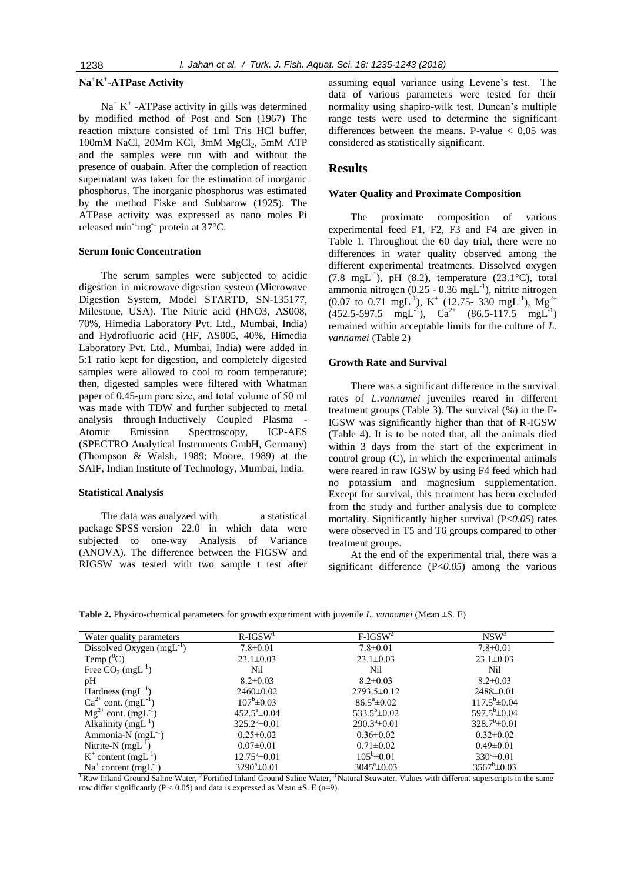# **Na<sup>+</sup>K + -ATPase Activity**

 $Na<sup>+</sup> K<sup>+</sup> -ATPase activity in gills was determined$ by modified method of Post and Sen (1967) The reaction mixture consisted of 1ml Tris HCl buffer, 100mM NaCl, 20Mm KCl, 3mM MgCl<sub>2</sub>, 5mM ATP and the samples were run with and without the presence of ouabain. After the completion of reaction supernatant was taken for the estimation of inorganic phosphorus. The inorganic phosphorus was estimated by the method Fiske and Subbarow (1925). The ATPase activity was expressed as nano moles Pi released min<sup>-1</sup>mg<sup>-1</sup> protein at 37°C.

### **Serum Ionic Concentration**

The serum samples were subjected to acidic digestion in microwave digestion system (Microwave Digestion System, Model STARTD, SN-135177, Milestone, USA). The Nitric acid (HNO3, AS008, 70%, Himedia Laboratory Pvt. Ltd., Mumbai, India) and Hydrofluoric acid (HF, AS005, 40%, Himedia Laboratory Pvt. Ltd., Mumbai, India) were added in 5:1 ratio kept for digestion, and completely digested samples were allowed to cool to room temperature; then, digested samples were filtered with Whatman paper of 0.45-μm pore size, and total volume of 50 ml was made with TDW and further subjected to metal analysis through Inductively Coupled Plasma - Atomic Emission Spectroscopy, ICP-AES (SPECTRO Analytical Instruments GmbH, Germany) (Thompson & Walsh, 1989; Moore, 1989) at the SAIF, Indian Institute of Technology, Mumbai, India.

#### **Statistical Analysis**

The data was analyzed with a statistical package SPSS version 22.0 in which data were subjected to one-way Analysis of Variance (ANOVA). The difference between the FIGSW and RIGSW was tested with two sample t test after

assuming equal variance using Levene's test. The data of various parameters were tested for their normality using shapiro-wilk test. Duncan's multiple range tests were used to determine the significant differences between the means. P-value < 0.05 was considered as statistically significant.

# **Results**

#### **Water Quality and Proximate Composition**

The proximate composition of various experimental feed F1, F2, F3 and F4 are given in Table 1. Throughout the 60 day trial, there were no differences in water quality observed among the different experimental treatments. Dissolved oxygen  $(7.8 \text{ mgL}^{-1})$ , pH  $(8.2)$ , temperature  $(23.1^{\circ}\text{C})$ , total ammonia nitrogen  $(0.25 - 0.36 \text{ mgL}^{-1})$ , nitrite nitrogen  $(0.07 \text{ to } 0.71 \text{ mgL}^{-1}), K^+$   $(12.75 - 330 \text{ mgL}^{-1}), Mg^{2+}$  $(452.5-597.5 \text{ mgL}^{-1}), \text{ Ca}^{2+} (86.5-117.5 \text{ mgL}^{-1})$ remained within acceptable limits for the culture of *L. vannamei* (Table 2)

## **Growth Rate and Survival**

There was a significant difference in the survival rates of *L.vannamei* juveniles reared in different treatment groups (Table 3). The survival (%) in the F-IGSW was significantly higher than that of R-IGSW (Table 4). It is to be noted that, all the animals died within 3 days from the start of the experiment in control group (C), in which the experimental animals were reared in raw IGSW by using F4 feed which had no potassium and magnesium supplementation. Except for survival, this treatment has been excluded from the study and further analysis due to complete mortality. Significantly higher survival (P<*0.05*) rates were observed in T5 and T6 groups compared to other treatment groups.

At the end of the experimental trial, there was a significant difference (P<*0.05*) among the various

**Table 2.** Physico-chemical parameters for growth experiment with juvenile *L. vannamei* (Mean ±S. E)

| Water quality parameters             | $R-IGSW1$                | $F-IGSW2$                | $NSW^3$                |
|--------------------------------------|--------------------------|--------------------------|------------------------|
| Dissolved Oxygen $(mgL^{-1})$        | $7.8 \pm 0.01$           | $7.8 \pm 0.01$           | $7.8 \pm 0.01$         |
| Temp $(^0C)$                         | $23.1 \pm 0.03$          | $23.1 \pm 0.03$          | $23.1 \pm 0.03$        |
| Free $CO_2$ (mgL <sup>-1</sup> )     | Nil                      | Nil                      | Nil                    |
| pH                                   | $8.2 \pm 0.03$           | $8.2 \pm 0.03$           | $8.2 \pm 0.03$         |
| Hardness $(mgL^{-1})$                | $2460 \pm 0.02$          | $2793.5 \pm 0.12$        | $2488 \pm 0.01$        |
| $Ca^{2+}$ cont. (mgL <sup>-1</sup> ) | $107^{\rm b} \pm 0.03$   | $86.5^{\circ} \pm 0.02$  | $117.5^b \pm 0.04$     |
| $Mg^{2+}$ cont. (mgL <sup>-1</sup> ) | $452.5^{\circ} \pm 0.04$ | $533.5^b \pm 0.02$       | $597.5^b \pm 0.04$     |
| Alkalinity $(mgL^{-1})$              | $325.2^b \pm 0.01$       | $290.3^{\circ} \pm 0.01$ | $328.7^b \pm 0.01$     |
| Ammonia-N $(mgL^{-1})$               | $0.25 \pm 0.02$          | $0.36 \pm 0.02$          | $0.32 \pm 0.02$        |
| Nitrite-N $(mgL^{-1})$               | $0.07 \pm 0.01$          | $0.71 \pm 0.02$          | $0.49 \pm 0.01$        |
| $K^+$ content (mgL <sup>-1</sup> )   | $12.75^{\circ}$ ±0.01    | $105^b \pm 0.01$         | $330^{\circ} \pm 0.01$ |
| $Na+ content (mgL-1)$                | $3290^a \pm 0.01$        | $3045^{\circ} \pm 0.03$  | $3567^b \pm 0.03$      |

<sup>1</sup> Raw Inland Ground Saline Water, <sup>2</sup> Fortified Inland Ground Saline Water, <sup>3</sup> Natural Seawater. Values with different superscripts in the same row differ significantly ( $P \le 0.05$ ) and data is expressed as Mean  $\pm S$ . E (n=9).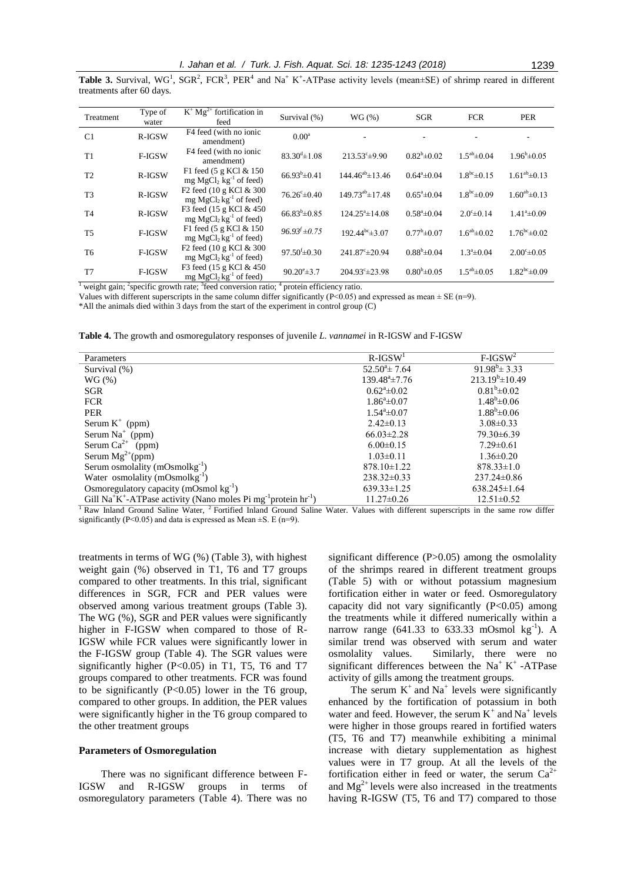**Table 3.** Survival,  $WG^1$ ,  $SGR^2$ ,  $FCR^3$ ,  $PER^4$  and  $Na^+K^+$ -ATPase activity levels (mean $\pm SE$ ) of shrimp reared in different treatments after 60 days.

| Treatment      | Type of<br>water | $K^+ Mg^{2+}$ fortification in<br>feed                           | Survival (%)                 | WG(%)                      | <b>SGR</b>            | <b>FCR</b>             | <b>PER</b>              |
|----------------|------------------|------------------------------------------------------------------|------------------------------|----------------------------|-----------------------|------------------------|-------------------------|
| C <sub>1</sub> | R-IGSW           | F4 feed (with no ionic<br>amendment)                             | $0.00^a$                     |                            |                       |                        |                         |
| T1             | F-IGSW           | F4 feed (with no ionic<br>amendment)                             | $83.30^{d} \pm 1.08$         | $213.53^{\circ} \pm 9.90$  | $0.82^b \pm 0.02$     | $1.5^{ab} \pm 0.04$    | $1.96^{\rm b} \pm 0.05$ |
| T <sub>2</sub> | R-IGSW           | F1 feed $(5 \text{ g KCl} \& 150)$<br>$mg MgCl2 kg-1$ of feed)   | $66.93^{b} \pm 0.41$         | $144.46^{ab} \pm 13.46$    | $0.64^a \pm 0.04$     | $1.8^{bc} \pm 0.15$    | $1.61^{ab} \pm 0.13$    |
| T <sub>3</sub> | R-IGSW           | F <sub>2</sub> feed (10 g KCl & 300)<br>mg $MgCl2kg-1$ of feed)  | $76.26^{\circ} \pm 0.40$     | $149.73^{ab} \pm 17.48$    | $0.65^{\circ}$ ± 0.04 | $1.8^{bc} \pm 0.09$    | $1.60^{ab} \pm 0.13$    |
| T <sub>4</sub> | R-IGSW           | F3 feed (15 g KCl & 450)<br>mg $MgCl2 kg-1$ of feed)             | $66.83^{b} \pm 0.85$         | $124.25^{\circ}$ ± 14.08   | $0.58^{\circ}$ ± 0.04 | $2.0^{\circ} \pm 0.14$ | $1.41^a \pm 0.09$       |
| <b>T5</b>      | F-IGSW           | F1 feed (5 g KCl & 150)<br>mg $MgCl2kg-1$ of feed)               | $96.93^{f} \pm 0.75$         | $192.44^{bc} \pm 3.07$     | $0.77^b \pm 0.07$     | $1.6^{ab} \pm 0.02$    | $1.76^{bc} \pm 0.02$    |
| T <sub>6</sub> | F-IGSW           | F <sub>2</sub> feed (10 g KCl & 300)<br>mg $MgCl2 kg-1$ of feed) | $97.50^{\mathrm{f}}\pm 0.30$ | $241.87^{\circ} \pm 20.94$ | $0.88^{b} \pm 0.04$   | $1.3^a \pm 0.04$       | $2.00^{\circ}$ ±0.05    |
| T7             | F-IGSW           | F3 feed (15 g KCl & 450)<br>mg $MgCl2 kg-1$ of feed)             | $90.20^{\circ}$ ±3.7         | $204.93^{\circ} \pm 23.98$ | $0.80^{b} \pm 0.05$   | $1.5^{ab} \pm 0.05$    | $1.82^{bc} \pm 0.09$    |

<sup>1</sup> weight gain; <sup>2</sup> specific growth rate;  $3$  feed conversion ratio;  $4$  protein efficiency ratio.

Values with different superscripts in the same column differ significantly (P<0.05) and expressed as mean  $\pm$  SE (n=9).

\*All the animals died within 3 days from the start of the experiment in control group (C)

| Parameters                                                                                                      | $R$ -IGSW <sup>1</sup>  | $F$ -IGSW <sup>2</sup>   |
|-----------------------------------------------------------------------------------------------------------------|-------------------------|--------------------------|
| Survival (%)                                                                                                    | $52.50^{\circ}$ ± 7.64  | $91.98^{\rm b} \pm 3.33$ |
| WG(%)                                                                                                           | $139.48^a \pm 7.76$     | $213.19^{b} \pm 10.49$   |
| SGR                                                                                                             | $0.62^{\circ}$ ± 0.02   | $0.81^{b} \pm 0.02$      |
| <b>FCR</b>                                                                                                      | $1.86^{\circ} \pm 0.07$ | $1.48^{\rm b} \pm 0.06$  |
| <b>PER</b>                                                                                                      | $1.54^a \pm 0.07$       | $1.88^{\rm b} \pm 0.06$  |
| Serum $K^+$ (ppm)                                                                                               | $2.42 \pm 0.13$         | $3.08 \pm 0.33$          |
| Serum $Na^+$ (ppm)                                                                                              | $66.03 \pm 2.28$        | $79.30\pm 6.39$          |
| Serum $Ca^{2+}$ (ppm)                                                                                           | $6.00 \pm 0.15$         | $7.29 \pm 0.61$          |
| Serum $Mg^{2+}(ppm)$                                                                                            | $1.03 \pm 0.11$         | $1.36 \pm 0.20$          |
| Serum osmolality (mOsmolkg <sup>-1</sup> )                                                                      | $878.10 \pm 1.22$       | $878.33 \pm 1.0$         |
| Water osmolality (mOsmolkg <sup>-1</sup> )                                                                      | $238.32\pm0.33$         | $237.24 \pm 0.86$        |
| Osmoregulatory capacity (mOsmol $kg^{-1}$ )                                                                     | $639.33 \pm 1.25$       | $638.245 \pm 1.64$       |
| Gill Na <sup>+</sup> K <sup>+</sup> -ATPase activity (Nano moles Pi mg <sup>-1</sup> protein hr <sup>-1</sup> ) | $11.27 \pm 0.26$        | $12.51 \pm 0.52$         |

<sup>1</sup> Raw Inland Ground Saline Water, <sup>2</sup> Fortified Inland Ground Saline Water. Values with different superscripts in the same row differ significantly (P<0.05) and data is expressed as Mean  $\pm$ S. E (n=9).

treatments in terms of WG (%) (Table 3), with highest weight gain (%) observed in T1, T6 and T7 groups compared to other treatments. In this trial, significant differences in SGR, FCR and PER values were observed among various treatment groups (Table 3). The WG (%), SGR and PER values were significantly higher in F-IGSW when compared to those of R-IGSW while FCR values were significantly lower in the F-IGSW group (Table 4). The SGR values were significantly higher (P<0.05) in T1, T5, T6 and T7 groups compared to other treatments. FCR was found to be significantly  $(P<0.05)$  lower in the T6 group, compared to other groups. In addition, the PER values were significantly higher in the T6 group compared to the other treatment groups

# **Parameters of Osmoregulation**

There was no significant difference between F-IGSW and R-IGSW groups in terms of osmoregulatory parameters (Table 4). There was no

significant difference (P>0.05) among the osmolality of the shrimps reared in different treatment groups (Table 5) with or without potassium magnesium fortification either in water or feed. Osmoregulatory capacity did not vary significantly  $(P<0.05)$  among the treatments while it differed numerically within a narrow range  $(641.33 \text{ to } 633.33 \text{ mOsmol kg}^{-1})$ . A similar trend was observed with serum and water osmolality values. Similarly, there were no significant differences between the Na<sup>+</sup> K<sup>+</sup> -ATPase activity of gills among the treatment groups.

The serum  $K^+$  and  $Na^+$  levels were significantly enhanced by the fortification of potassium in both water and feed. However, the serum  $K^+$  and  $Na^+$  levels were higher in those groups reared in fortified waters (T5, T6 and T7) meanwhile exhibiting a minimal increase with dietary supplementation as highest values were in T7 group. At all the levels of the fortification either in feed or water, the serum  $Ca^{2+}$ and  $Mg^{2+}$  levels were also increased in the treatments having R-IGSW (T5, T6 and T7) compared to those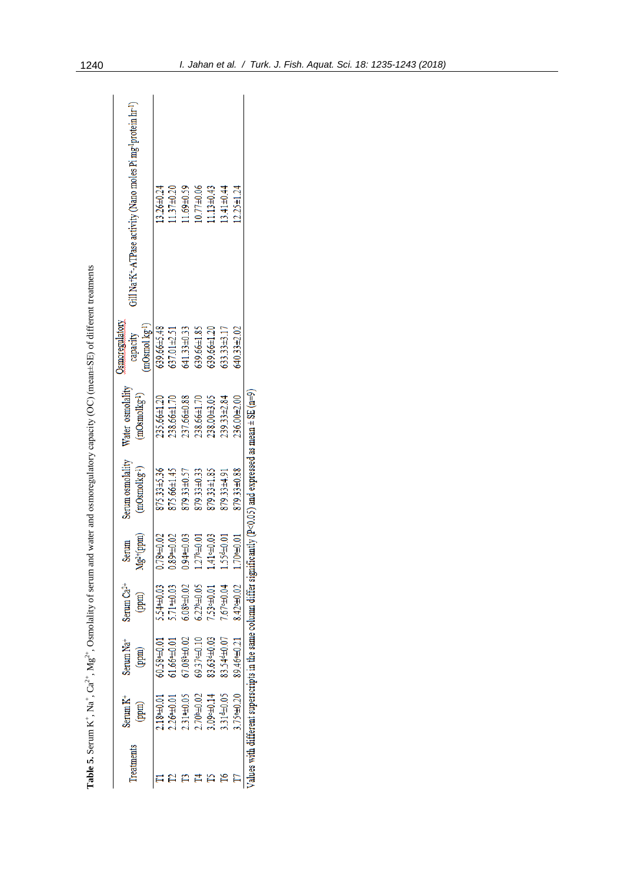| <b>Treatments</b> | Serum K <sup>+</sup>    | Serum Na <sup>+</sup>   | Serum Ca <sup>2+</sup> | Serum                  | Serum osmolality                                                                                                   | Water osmolality  | <b>established</b>          |                                                           |
|-------------------|-------------------------|-------------------------|------------------------|------------------------|--------------------------------------------------------------------------------------------------------------------|-------------------|-----------------------------|-----------------------------------------------------------|
|                   | (mud                    | (ppm)                   | (ppm)                  | $Mg^{2+}(ppm)$         | $(mOsmolkg-1)$                                                                                                     | $(mOsmolkg-1)$    | $(mOsmol kg-1)$<br>capacity | Gill Na+K+ATPase activity (Nano moles Pi mg-brotein hr-1) |
|                   | 10.04481                | 60.5840.01              | 540.03                 | 0.7840.02              | 875.33±5.36                                                                                                        | 235.66±1.20       | 639.66±5.48                 | 13.26±0.24                                                |
|                   | 2640.01                 | 61.6640.01              | 7140.03                | 0.8940.02              | 875.66±1.45                                                                                                        | 238.66±1.70       | 537.01±2.51                 | $1.37 + 0.20$                                             |
|                   | 2.31#0.05               | 200∓ <sub>4</sub> 80'/! | 0.04480.02             | 0.9440.03              | 379.33±0.57                                                                                                        | 237.66±0.88       | 641.33±0.33                 | 1.69±0.59                                                 |
|                   | 20.0440.02              | 69.37-+0.10             | $6.22b + 0.05$         | $.27^{b+0.01}$         | 879.33±0.33                                                                                                        | 238.66±1.70       | 639.66±1.85                 | $10.77 + 0.06$                                            |
|                   | 0.04014                 | 83.634±0.03             | IQ04-85                | $.41 - 0.03$           | 179.33±1.85                                                                                                        | 238.00±3.05       | 639.66±1.20                 | $11.13 + 0.43$                                            |
|                   | 3.314±0.05              | 83.544±0.07             | $7.67 - 0.04$          | LO.0 <del>4</del> b.01 | 1674333                                                                                                            | $239.33 \pm 2.84$ | 533.33±3.17                 | $13.41 \pm 0.44$                                          |
|                   | 1.75 <sup>+</sup> ±0.20 | 89.46 ± 0.21            | $3.42 - 0.02$          | 10.0400                | 879.33±0.88                                                                                                        | 236.00±2.00       | 540.33±2.02                 | $2.25 \pm 1.24$                                           |
|                   |                         |                         |                        |                        | lues with different superscripts in the same column differ significantly (P<0.05) and expressed as mean ± SE (n=9) |                   |                             |                                                           |

**Table 5.** Serum

K+, Na

+, Ca<sup>2+</sup>, Mg<sup>2+</sup>, Osmolality of serum and water and osmoregulatory capacity (OC) (mean±SE) of different treatments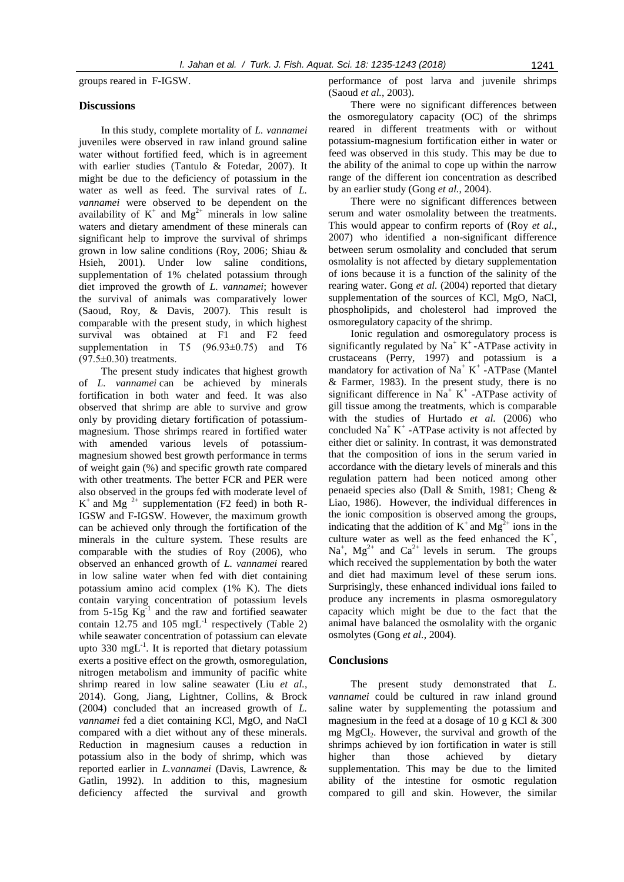groups reared in F-IGSW.

#### **Discussions**

In this study, complete mortality of *L. vannamei* juveniles were observed in raw inland ground saline water without fortified feed, which is in agreement with earlier studies (Tantulo & Fotedar, 2007). It might be due to the deficiency of potassium in the water as well as feed. The survival rates of *L. vannamei* were observed to be dependent on the availability of  $K^+$  and  $Mg^{2+}$  minerals in low saline waters and dietary amendment of these minerals can significant help to improve the survival of shrimps grown in low saline conditions (Roy, 2006; Shiau & Hsieh, 2001). Under low saline conditions, supplementation of 1% chelated potassium through diet improved the growth of *L. vannamei*; however the survival of animals was comparatively lower (Saoud, Roy, & Davis, 2007). This result is comparable with the present study, in which highest survival was obtained at F1 and F2 feed supplementation in T5  $(96.93\pm0.75)$  and T6  $(97.5\pm0.30)$  treatments.

The present study indicates that highest growth of *L. vannamei* can be achieved by minerals fortification in both water and feed. It was also observed that shrimp are able to survive and grow only by providing dietary fortification of potassiummagnesium. Those shrimps reared in fortified water with amended various levels of potassiummagnesium showed best growth performance in terms of weight gain (%) and specific growth rate compared with other treatments. The better FCR and PER were also observed in the groups fed with moderate level of  $K^+$  and Mg<sup>2+</sup> supplementation (F2 feed) in both R-IGSW and F-IGSW. However, the maximum growth can be achieved only through the fortification of the minerals in the culture system. These results are comparable with the studies of Roy (2006), who observed an enhanced growth of *L. vannamei* reared in low saline water when fed with diet containing potassium amino acid complex (1% K). The diets contain varying concentration of potassium levels from  $5\text{-}15g$   $\text{Kg}^{-1}$  and the raw and fortified seawater contain 12.75 and 105  $mgL^{-1}$  respectively (Table 2) while seawater concentration of potassium can elevate upto 330 mg $L^{-1}$ . It is reported that dietary potassium exerts a positive effect on the growth, osmoregulation, nitrogen metabolism and immunity of pacific white shrimp reared in low saline seawater (Liu *et al.*, 2014). Gong, Jiang, Lightner, Collins, & Brock (2004) concluded that an increased growth of *L. vannamei* fed a diet containing KCl, MgO, and NaCl compared with a diet without any of these minerals. Reduction in magnesium causes a reduction in potassium also in the body of shrimp, which was reported earlier in *L.vannamei* (Davis, Lawrence, & Gatlin, 1992). In addition to this, magnesium deficiency affected the survival and growth

performance of post larva and juvenile shrimps (Saoud *et al.*, 2003).

There were no significant differences between the osmoregulatory capacity (OC) of the shrimps reared in different treatments with or without potassium-magnesium fortification either in water or feed was observed in this study. This may be due to the ability of the animal to cope up within the narrow range of the different ion concentration as described by an earlier study (Gong *et al.*, 2004).

There were no significant differences between serum and water osmolality between the treatments. This would appear to confirm reports of (Roy *et al.*, 2007) who identified a non-significant difference between serum osmolality and concluded that serum osmolality is not affected by dietary supplementation of ions because it is a function of the salinity of the rearing water. Gong *et al.* (2004) reported that dietary supplementation of the sources of KCl, MgO, NaCl, phospholipids, and cholesterol had improved the osmoregulatory capacity of the shrimp.

Ionic regulation and osmoregulatory process is significantly regulated by  $Na^+ K^+$ -ATPase activity in crustaceans (Perry, 1997) and potassium is a mandatory for activation of Na<sup>+</sup> K<sup>+</sup> -ATPase (Mantel & Farmer, 1983). In the present study, there is no significant difference in  $Na^+ K^+$ -ATPase activity of gill tissue among the treatments, which is comparable with the studies of Hurtado *et al.* (2006) who concluded  $Na<sup>+</sup> K<sup>+</sup> -ATP$ ase activity is not affected by either diet or salinity. In contrast, it was demonstrated that the composition of ions in the serum varied in accordance with the dietary levels of minerals and this regulation pattern had been noticed among other penaeid species also (Dall & Smith, 1981; Cheng & Liao, 1986). However, the individual differences in the ionic composition is observed among the groups, indicating that the addition of  $K^+$  and  $Mg^{2+}$  ions in the culture water as well as the feed enhanced the  $K^+$ ,  $Na<sup>+</sup>$ ,  $Mg<sup>2+</sup>$  and  $Ca<sup>2+</sup>$  levels in serum. The groups which received the supplementation by both the water and diet had maximum level of these serum ions. Surprisingly, these enhanced individual ions failed to produce any increments in plasma osmoregulatory capacity which might be due to the fact that the animal have balanced the osmolality with the organic osmolytes (Gong *et al.*, 2004).

#### **Conclusions**

The present study demonstrated that *L. vannamei* could be cultured in raw inland ground saline water by supplementing the potassium and magnesium in the feed at a dosage of 10 g KCl  $&$  300 mg MgCl<sub>2</sub>. However, the survival and growth of the shrimps achieved by ion fortification in water is still higher than those achieved by dietary supplementation. This may be due to the limited ability of the intestine for osmotic regulation compared to gill and skin. However, the similar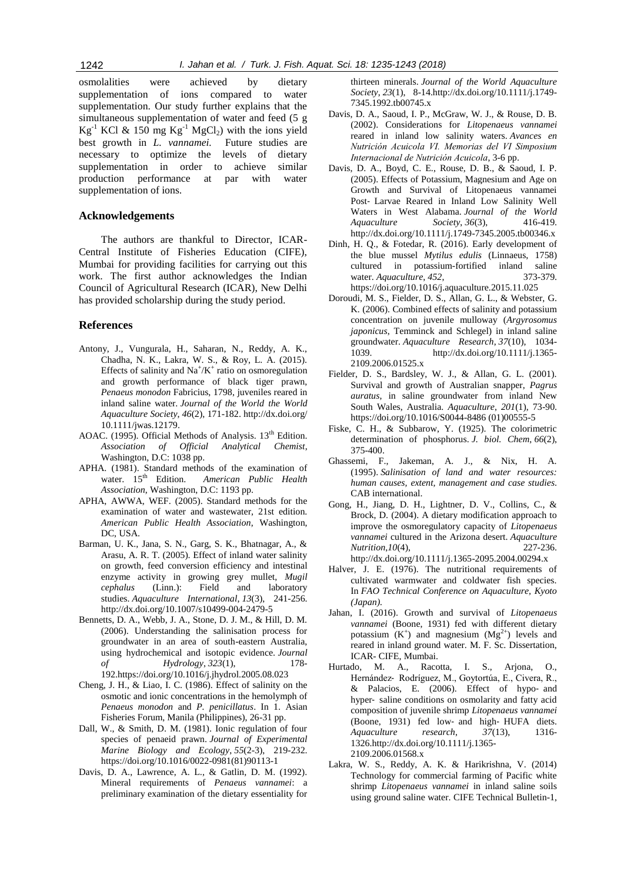osmolalities were achieved by dietary supplementation of ions compared to water supplementation. Our study further explains that the simultaneous supplementation of water and feed (5 g  $Kg^{-1}$  KCl & 150 mg  $Kg^{-1}$  MgCl<sub>2</sub>) with the ions yield best growth in *L. vannamei.* Future studies are necessary to optimize the levels of dietary supplementation in order to achieve similar production performance at par with water supplementation of ions.

# **Acknowledgements**

The authors are thankful to Director, ICAR-Central Institute of Fisheries Education (CIFE), Mumbai for providing facilities for carrying out this work. The first author acknowledges the Indian Council of Agricultural Research (ICAR), New Delhi has provided scholarship during the study period.

## **References**

- Antony, J., Vungurala, H., Saharan, N., Reddy, A. K., Chadha, N. K., Lakra, W. S., & Roy, L. A. (2015). Effects of salinity and  $\text{Na}^+\text{/K}^+$  ratio on osmoregulation and growth performance of black tiger prawn, *Penaeus monodon* Fabricius, 1798, juveniles reared in inland saline water. *Journal of the World the World Aquaculture Society*, *46*(2), 171-182. http://dx.doi.org/ 10.1111/jwas.12179.
- AOAC. (1995). Official Methods of Analysis. 13<sup>th</sup> Edition. *Association of Official Analytical Chemist*, Washington, D.C: 1038 pp.
- APHA. (1981). Standard methods of the examination of water.  $15<sup>th</sup>$  Edition. American Public Health water. 15th Edition. *American Public Health Association*, Washington, D.C: 1193 pp.
- APHA, AWWA, WEF. (2005). Standard methods for the examination of water and wastewater, 21st edition. *American Public Health Association*, Washington, DC, USA.
- Barman, U. K., Jana, S. N., Garg, S. K., Bhatnagar, A., & Arasu, A. R. T. (2005). Effect of inland water salinity on growth, feed conversion efficiency and intestinal enzyme activity in growing grey mullet, *Mugil cephalus* (Linn.): Field and laboratory studies. *Aquaculture International*, *13*(3), 241-256. http://dx.doi.org/10.1007/s10499-004-2479-5
- Bennetts, D. A., Webb, J. A., Stone, D. J. M., & Hill, D. M. (2006). Understanding the salinisation process for groundwater in an area of south-eastern Australia, using hydrochemical and isotopic evidence. *Journal of Hydrology*, *323*(1), 178- 192.https://doi.org/10.1016/j.jhydrol.2005.08.023
- Cheng, J. H., & Liao, I. C. (1986). Effect of salinity on the osmotic and ionic concentrations in the hemolymph of *Penaeus monodon* and *P. penicillatus*. In 1. Asian Fisheries Forum, Manila (Philippines), 26-31 pp.
- Dall, W., & Smith, D. M. (1981). Ionic regulation of four species of penaeid prawn. *Journal of Experimental Marine Biology and Ecology*, *55*(2-3), 219-232. https://doi.org/10.1016/0022-0981(81)90113-1
- Davis, D. A., Lawrence, A. L., & Gatlin, D. M. (1992). Mineral requirements of *Penaeus vannamei*: a preliminary examination of the dietary essentiality for

thirteen minerals. *Journal of the World Aquaculture Society*, *23*(1), 8-14.http://dx.doi.org/10.1111/j.1749- 7345.1992.tb00745.x

- Davis, D. A., Saoud, I. P., McGraw, W. J., & Rouse, D. B. (2002). Considerations for *Litopenaeus vannamei*  reared in inland low salinity waters. *Avances en Nutrición Acuicola VI. Memorias del VI Simposium Internacional de Nutrición Acuicola*, 3-6 pp.
- Davis, D. A., Boyd, C. E., Rouse, D. B., & Saoud, I. P. (2005). Effects of Potassium, Magnesium and Age on Growth and Survival of Litopenaeus vannamei Post‐ Larvae Reared in Inland Low Salinity Well Waters in West Alabama. *Journal of the World Aquaculture Society*, *36*(3), 416-419. http://dx.doi.org/10.1111/j.1749-7345.2005.tb00346.x
- Dinh, H. Q., & Fotedar, R. (2016). Early development of the blue mussel *Mytilus edulis* (Linnaeus, 1758) cultured in potassium-fortified inland saline water. *Aquaculture*, *452*, 373-379. https://doi.org/10.1016/j.aquaculture.2015.11.025
- Doroudi, M. S., Fielder, D. S., Allan, G. L., & Webster, G. K. (2006). Combined effects of salinity and potassium concentration on juvenile mulloway (*Argyrosomus japonicus*, Temminck and Schlegel) in inland saline groundwater. *Aquaculture Research*, *37*(10), 1034- 1039. http://dx.doi.org/10.1111/j.1365- 2109.2006.01525.x
- Fielder, D. S., Bardsley, W. J., & Allan, G. L. (2001). Survival and growth of Australian snapper, *Pagrus auratus*, in saline groundwater from inland New South Wales, Australia. *Aquaculture*, *201*(1), 73-90. https://doi.org/10.1016/S0044-8486 (01)00555-5
- Fiske, C. H., & Subbarow, Y. (1925). The colorimetric determination of phosphorus. *J. biol. Chem*, *66*(2), 375-400.
- Ghassemi, F., Jakeman, A. J., & Nix, H. A. (1995). *Salinisation of land and water resources: human causes, extent, management and case studies*. CAB international.
- Gong, H., Jiang, D. H., Lightner, D. V., Collins, C., & Brock, D. (2004). A dietary modification approach to improve the osmoregulatory capacity of *Litopenaeus vannamei* cultured in the Arizona desert. *Aquaculture Nutrition*, *10*(4), http://dx.doi.org/10.1111/j.1365-2095.2004.00294.x
- Halver, J. E. (1976). The nutritional requirements of cultivated warmwater and coldwater fish species. In *FAO Technical Conference on Aquaculture, Kyoto (Japan).*
- Jahan, I. (2016). Growth and survival of *Litopenaeus vannamei* (Boone, 1931) fed with different dietary potassium  $(K^+)$  and magnesium  $(Mg^{2+})$  levels and reared in inland ground water. M. F. Sc. Dissertation, ICAR- CIFE, Mumbai.
- Hurtado, M. A., Racotta, I. S., Arjona, O., Hernández‐ Rodríguez, M., Goytortúa, E., Civera, R., & Palacios, E. (2006). Effect of hypo‐ and hyper- saline conditions on osmolarity and fatty acid composition of juvenile shrimp *Litopenaeus vannamei* (Boone, 1931) fed low‐ and high‐ HUFA diets. *Aquaculture research*, *37*(13), 1316- 1326.http://dx.doi.org/10.1111/j.1365- 2109.2006.01568.x
- Lakra, W. S., Reddy, A. K. & Harikrishna, V. (2014) Technology for commercial farming of Pacific white shrimp *Litopenaeus vannamei* in inland saline soils using ground saline water. CIFE Technical Bulletin-1,